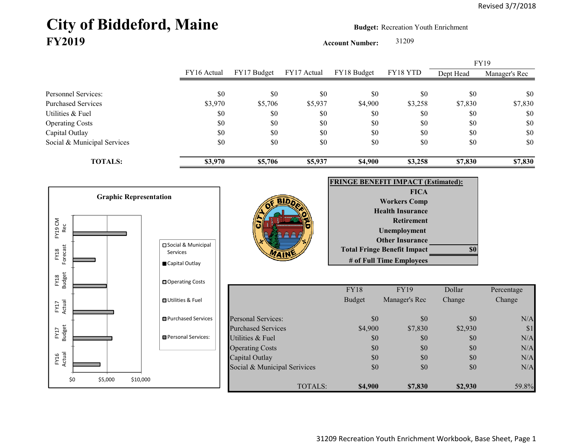## City of Biddeford, Maine **Budget:** Recreation Youth Enrichment **FY2019**

**Account Number:** 31209

FY16 Actual FY17 Budget FY17 Actual FY18 Budget FY18 YTD Dept Head Manager's Rec Personnel Services: \$0 \$0 \$0 \$0 \$0 \$0 \$0 Purchased Services 67,830 \$3,970 \$5,706 \$5,937 \$4,900 \$3,258 \$7,830 \$7,830 Utilities & Fuel \$0 \$0 \$0 \$0 \$0 \$0 \$0 Operating Costs \$0 \$0 \$0 \$0 \$0 \$0 Capital Outlay \$0 \$0 \$0 \$0 \$0 \$0 Social & Municipal Services \$0 \$0 \$0 \$0 \$0 \$0 \$0 **TOTALS: \$3,970 \$5,706 \$5,937 \$4,900 \$3,258 \$7,830 \$7,830** FY19

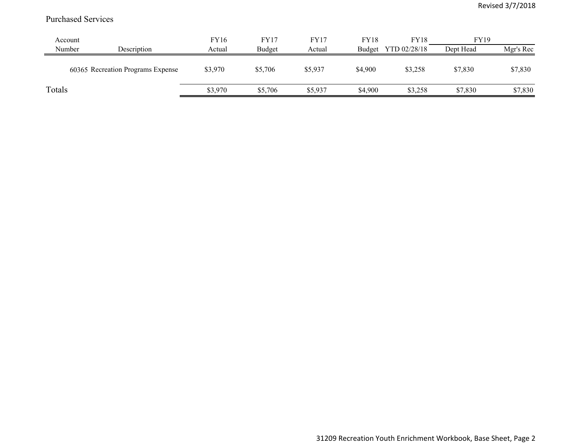## Purchased Services

| Account |                                   | <b>FY16</b> | <b>FY17</b> | FY17    | <b>FY18</b> | <b>FY18</b>  | <b>FY19</b> |           |
|---------|-----------------------------------|-------------|-------------|---------|-------------|--------------|-------------|-----------|
| Number  | Description                       | Actual      | Budget      | Actual  | Budget      | YTD 02/28/18 | Dept Head   | Mgr's Rec |
|         | 60365 Recreation Programs Expense | \$3,970     | \$5,706     | \$5,937 | \$4,900     | \$3,258      | \$7,830     | \$7,830   |
| Totals  |                                   | \$3,970     | \$5,706     | \$5,937 | \$4,900     | \$3,258      | \$7,830     | \$7,830   |